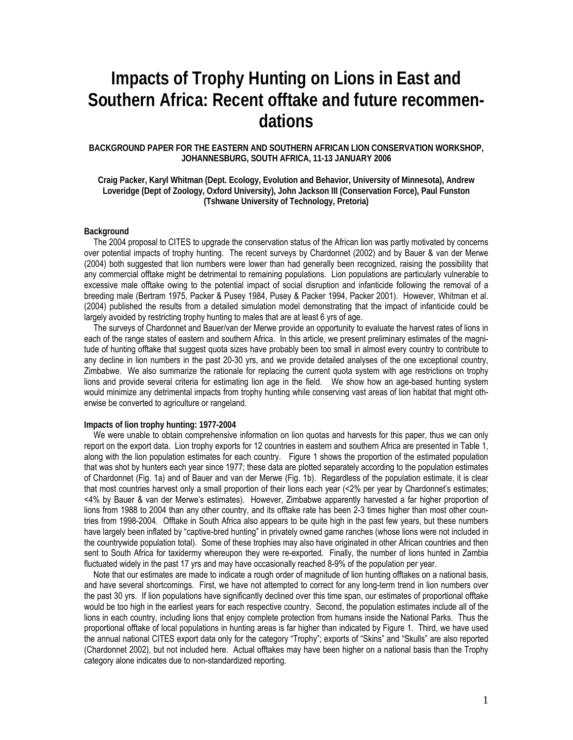# **Impacts of Trophy Hunting on Lions in East and Southern Africa: Recent offtake and future recommendations**

## **BACKGROUND PAPER FOR THE EASTERN AND SOUTHERN AFRICAN LION CONSERVATION WORKSHOP, JOHANNESBURG, SOUTH AFRICA, 11-13 JANUARY 2006**

**Craig Packer, Karyl Whitman (Dept. Ecology, Evolution and Behavior, University of Minnesota), Andrew Loveridge (Dept of Zoology, Oxford University), John Jackson III (Conservation Force), Paul Funston (Tshwane University of Technology, Pretoria)** 

## **Background**

The 2004 proposal to CITES to upgrade the conservation status of the African lion was partly motivated by concerns over potential impacts of trophy hunting. The recent surveys by Chardonnet (2002) and by Bauer & van der Merwe (2004) both suggested that lion numbers were lower than had generally been recognized, raising the possibility that any commercial offtake might be detrimental to remaining populations. Lion populations are particularly vulnerable to excessive male offtake owing to the potential impact of social disruption and infanticide following the removal of a breeding male (Bertram 1975, Packer & Pusey 1984, Pusey & Packer 1994, Packer 2001). However, Whitman et al. (2004) published the results from a detailed simulation model demonstrating that the impact of infanticide could be largely avoided by restricting trophy hunting to males that are at least 6 yrs of age.

The surveys of Chardonnet and Bauer/van der Merwe provide an opportunity to evaluate the harvest rates of lions in each of the range states of eastern and southern Africa. In this article, we present preliminary estimates of the magnitude of hunting offtake that suggest quota sizes have probably been too small in almost every country to contribute to any decline in lion numbers in the past 20-30 yrs, and we provide detailed analyses of the one exceptional country, Zimbabwe. We also summarize the rationale for replacing the current quota system with age restrictions on trophy lions and provide several criteria for estimating lion age in the field. We show how an age-based hunting system would minimize any detrimental impacts from trophy hunting while conserving vast areas of lion habitat that might otherwise be converted to agriculture or rangeland.

#### **Impacts of lion trophy hunting: 1977-2004**

We were unable to obtain comprehensive information on lion quotas and harvests for this paper, thus we can only report on the export data. Lion trophy exports for 12 countries in eastern and southern Africa are presented in Table 1, along with the lion population estimates for each country. Figure 1 shows the proportion of the estimated population that was shot by hunters each year since 1977; these data are plotted separately according to the population estimates of Chardonnet (Fig. 1a) and of Bauer and van der Merwe (Fig. 1b). Regardless of the population estimate, it is clear that most countries harvest only a small proportion of their lions each year (<2% per year by Chardonnet's estimates; <4% by Bauer & van der Merwe's estimates). However, Zimbabwe apparently harvested a far higher proportion of lions from 1988 to 2004 than any other country, and its offtake rate has been 2-3 times higher than most other countries from 1998-2004. Offtake in South Africa also appears to be quite high in the past few years, but these numbers have largely been inflated by "captive-bred hunting" in privately owned game ranches (whose lions were not included in the countrywide population total). Some of these trophies may also have originated in other African countries and then sent to South Africa for taxidermy whereupon they were re-exported. Finally, the number of lions hunted in Zambia fluctuated widely in the past 17 yrs and may have occasionally reached 8-9% of the population per year.

Note that our estimates are made to indicate a rough order of magnitude of lion hunting offtakes on a national basis, and have several shortcomings. First, we have not attempted to correct for any long-term trend in lion numbers over the past 30 yrs. If lion populations have significantly declined over this time span, our estimates of proportional offtake would be too high in the earliest years for each respective country. Second, the population estimates include all of the lions in each country, including lions that enjoy complete protection from humans inside the National Parks. Thus the proportional offtake of local populations in hunting areas is far higher than indicated by Figure 1. Third, we have used the annual national CITES export data only for the category "Trophy"; exports of "Skins" and "Skulls" are also reported (Chardonnet 2002), but not included here. Actual offtakes may have been higher on a national basis than the Trophy category alone indicates due to non-standardized reporting.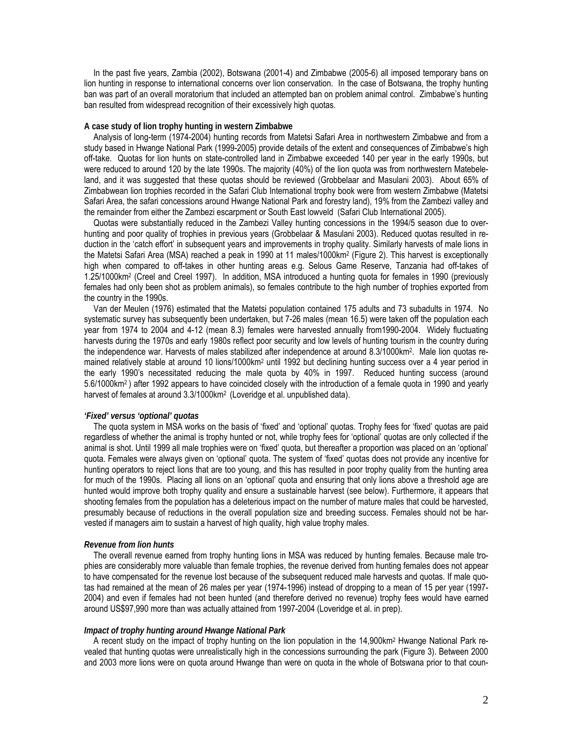In the past five years, Zambia (2002), Botswana (2001-4) and Zimbabwe (2005-6) all imposed temporary bans on lion hunting in response to international concerns over lion conservation. In the case of Botswana, the trophy hunting ban was part of an overall moratorium that included an attempted ban on problem animal control. Zimbabwe's hunting ban resulted from widespread recognition of their excessively high quotas.

## **A case study of lion trophy hunting in western Zimbabwe**

Analysis of long-term (1974-2004) hunting records from Matetsi Safari Area in northwestern Zimbabwe and from a study based in Hwange National Park (1999-2005) provide details of the extent and consequences of Zimbabwe's high off-take. Quotas for lion hunts on state-controlled land in Zimbabwe exceeded 140 per year in the early 1990s, but were reduced to around 120 by the late 1990s. The majority (40%) of the lion quota was from northwestern Matebeleland, and it was suggested that these quotas should be reviewed (Grobbelaar and Masulani 2003). About 65% of Zimbabwean lion trophies recorded in the Safari Club International trophy book were from western Zimbabwe (Matetsi Safari Area, the safari concessions around Hwange National Park and forestry land), 19% from the Zambezi valley and the remainder from either the Zambezi escarpment or South East lowveld (Safari Club International 2005).

Quotas were substantially reduced in the Zambezi Valley hunting concessions in the 1994/5 season due to overhunting and poor quality of trophies in previous years (Grobbelaar & Masulani 2003). Reduced quotas resulted in reduction in the 'catch effort' in subsequent years and improvements in trophy quality. Similarly harvests of male lions in the Matetsi Safari Area (MSA) reached a peak in 1990 at 11 males/1000km<sup>2</sup> (Figure 2). This harvest is exceptionally high when compared to off-takes in other hunting areas e.g. Selous Game Reserve, Tanzania had off-takes of 1.25/1000km2 (Creel and Creel 1997). In addition, MSA introduced a hunting quota for females in 1990 (previously females had only been shot as problem animals), so females contribute to the high number of trophies exported from the country in the 1990s.

Van der Meulen (1976) estimated that the Matetsi population contained 175 adults and 73 subadults in 1974. No systematic survey has subsequently been undertaken, but 7-26 males (mean 16.5) were taken off the population each year from 1974 to 2004 and 4-12 (mean 8.3) females were harvested annually from1990-2004. Widely fluctuating harvests during the 1970s and early 1980s reflect poor security and low levels of hunting tourism in the country during the independence war. Harvests of males stabilized after independence at around 8.3/1000km2. Male lion quotas remained relatively stable at around 10 lions/1000km2 until 1992 but declining hunting success over a 4 year period in the early 1990's necessitated reducing the male quota by 40% in 1997. Reduced hunting success (around 5.6/1000km2 ) after 1992 appears to have coincided closely with the introduction of a female quota in 1990 and yearly harvest of females at around 3.3/1000 km<sup>2</sup> (Loveridge et al. unpublished data).

## *'Fixed' versus 'optional' quotas*

The quota system in MSA works on the basis of 'fixed' and 'optional' quotas. Trophy fees for 'fixed' quotas are paid regardless of whether the animal is trophy hunted or not, while trophy fees for 'optional' quotas are only collected if the animal is shot. Until 1999 all male trophies were on 'fixed' quota, but thereafter a proportion was placed on an 'optional' quota. Females were always given on 'optional' quota. The system of 'fixed' quotas does not provide any incentive for hunting operators to reject lions that are too young, and this has resulted in poor trophy quality from the hunting area for much of the 1990s. Placing all lions on an 'optional' quota and ensuring that only lions above a threshold age are hunted would improve both trophy quality and ensure a sustainable harvest (see below). Furthermore, it appears that shooting females from the population has a deleterious impact on the number of mature males that could be harvested, presumably because of reductions in the overall population size and breeding success. Females should not be harvested if managers aim to sustain a harvest of high quality, high value trophy males.

### *Revenue from lion hunts*

The overall revenue earned from trophy hunting lions in MSA was reduced by hunting females. Because male trophies are considerably more valuable than female trophies, the revenue derived from hunting females does not appear to have compensated for the revenue lost because of the subsequent reduced male harvests and quotas. If male quotas had remained at the mean of 26 males per year (1974-1996) instead of dropping to a mean of 15 per year (1997- 2004) and even if females had not been hunted (and therefore derived no revenue) trophy fees would have earned around US\$97,990 more than was actually attained from 1997-2004 (Loveridge et al. in prep).

#### *Impact of trophy hunting around Hwange National Park*

A recent study on the impact of trophy hunting on the lion population in the 14,900km2 Hwange National Park revealed that hunting quotas were unrealistically high in the concessions surrounding the park (Figure 3). Between 2000 and 2003 more lions were on quota around Hwange than were on quota in the whole of Botswana prior to that coun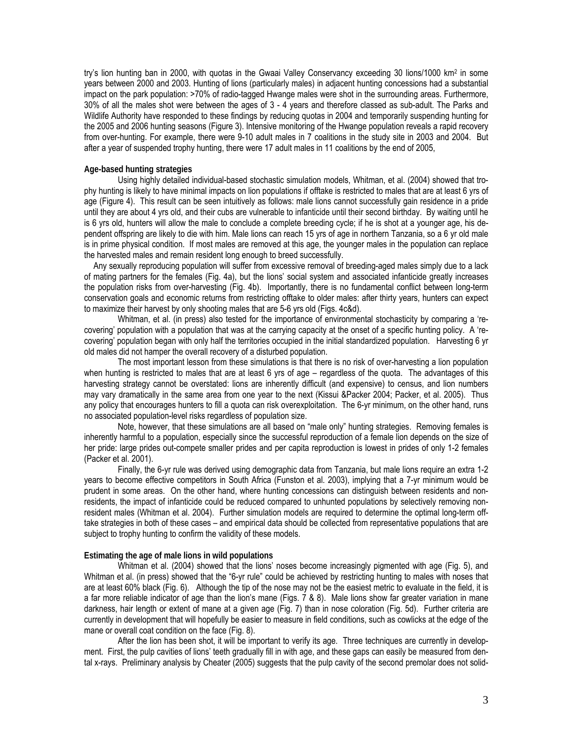try's lion hunting ban in 2000, with quotas in the Gwaai Valley Conservancy exceeding 30 lions/1000 km2 in some years between 2000 and 2003. Hunting of lions (particularly males) in adjacent hunting concessions had a substantial impact on the park population: >70% of radio-tagged Hwange males were shot in the surrounding areas. Furthermore, 30% of all the males shot were between the ages of 3 - 4 years and therefore classed as sub-adult. The Parks and Wildlife Authority have responded to these findings by reducing quotas in 2004 and temporarily suspending hunting for the 2005 and 2006 hunting seasons (Figure 3). Intensive monitoring of the Hwange population reveals a rapid recovery from over-hunting. For example, there were 9-10 adult males in 7 coalitions in the study site in 2003 and 2004. But after a year of suspended trophy hunting, there were 17 adult males in 11 coalitions by the end of 2005,

## **Age-based hunting strategies**

 Using highly detailed individual-based stochastic simulation models, Whitman, et al. (2004) showed that trophy hunting is likely to have minimal impacts on lion populations if offtake is restricted to males that are at least 6 yrs of age (Figure 4). This result can be seen intuitively as follows: male lions cannot successfully gain residence in a pride until they are about 4 yrs old, and their cubs are vulnerable to infanticide until their second birthday. By waiting until he is 6 yrs old, hunters will allow the male to conclude a complete breeding cycle; if he is shot at a younger age, his dependent offspring are likely to die with him. Male lions can reach 15 yrs of age in northern Tanzania, so a 6 yr old male is in prime physical condition. If most males are removed at this age, the younger males in the population can replace the harvested males and remain resident long enough to breed successfully.

Any sexually reproducing population will suffer from excessive removal of breeding-aged males simply due to a lack of mating partners for the females (Fig. 4a), but the lions' social system and associated infanticide greatly increases the population risks from over-harvesting (Fig. 4b). Importantly, there is no fundamental conflict between long-term conservation goals and economic returns from restricting offtake to older males: after thirty years, hunters can expect to maximize their harvest by only shooting males that are 5-6 yrs old (Figs. 4c&d).

 Whitman, et al. (in press) also tested for the importance of environmental stochasticity by comparing a 'recovering' population with a population that was at the carrying capacity at the onset of a specific hunting policy. A 'recovering' population began with only half the territories occupied in the initial standardized population. Harvesting 6 yr old males did not hamper the overall recovery of a disturbed population.

 The most important lesson from these simulations is that there is no risk of over-harvesting a lion population when hunting is restricted to males that are at least 6 yrs of age – regardless of the quota. The advantages of this harvesting strategy cannot be overstated: lions are inherently difficult (and expensive) to census, and lion numbers may vary dramatically in the same area from one year to the next (Kissui &Packer 2004; Packer, et al. 2005). Thus any policy that encourages hunters to fill a quota can risk overexploitation. The 6-yr minimum, on the other hand, runs no associated population-level risks regardless of population size.

 Note, however, that these simulations are all based on "male only" hunting strategies. Removing females is inherently harmful to a population, especially since the successful reproduction of a female lion depends on the size of her pride: large prides out-compete smaller prides and per capita reproduction is lowest in prides of only 1-2 females (Packer et al. 2001).

 Finally, the 6-yr rule was derived using demographic data from Tanzania, but male lions require an extra 1-2 years to become effective competitors in South Africa (Funston et al. 2003), implying that a 7-yr minimum would be prudent in some areas. On the other hand, where hunting concessions can distinguish between residents and nonresidents, the impact of infanticide could be reduced compared to unhunted populations by selectively removing nonresident males (Whitman et al. 2004). Further simulation models are required to determine the optimal long-term offtake strategies in both of these cases – and empirical data should be collected from representative populations that are subject to trophy hunting to confirm the validity of these models.

## **Estimating the age of male lions in wild populations**

 Whitman et al. (2004) showed that the lions' noses become increasingly pigmented with age (Fig. 5), and Whitman et al. (in press) showed that the "6-yr rule" could be achieved by restricting hunting to males with noses that are at least 60% black (Fig. 6). Although the tip of the nose may not be the easiest metric to evaluate in the field, it is a far more reliable indicator of age than the lion's mane (Figs. 7 & 8). Male lions show far greater variation in mane darkness, hair length or extent of mane at a given age (Fig. 7) than in nose coloration (Fig. 5d). Further criteria are currently in development that will hopefully be easier to measure in field conditions, such as cowlicks at the edge of the mane or overall coat condition on the face (Fig. 8).

 After the lion has been shot, it will be important to verify its age. Three techniques are currently in development. First, the pulp cavities of lions' teeth gradually fill in with age, and these gaps can easily be measured from dental x-rays. Preliminary analysis by Cheater (2005) suggests that the pulp cavity of the second premolar does not solid-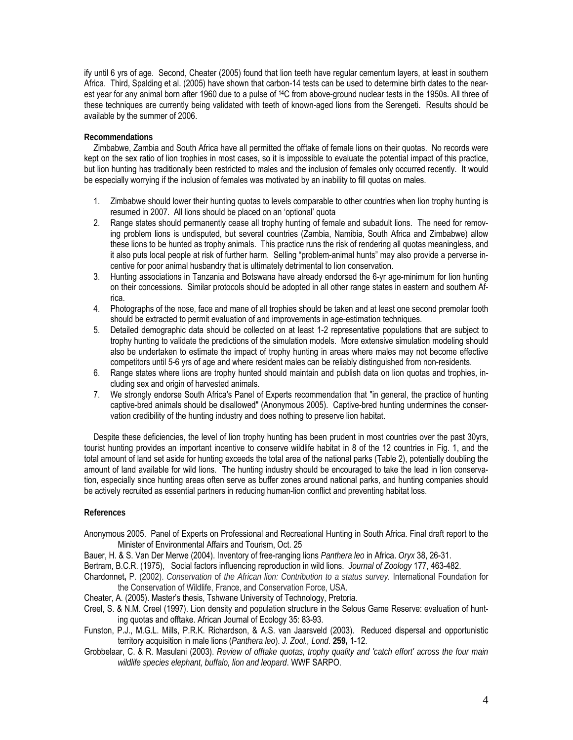ify until 6 yrs of age. Second, Cheater (2005) found that lion teeth have regular cementum layers, at least in southern Africa. Third, Spalding et al. (2005) have shown that carbon-14 tests can be used to determine birth dates to the nearest year for any animal born after 1960 due to a pulse of 14C from above-ground nuclear tests in the 1950s. All three of these techniques are currently being validated with teeth of known-aged lions from the Serengeti. Results should be available by the summer of 2006.

## **Recommendations**

Zimbabwe, Zambia and South Africa have all permitted the offtake of female lions on their quotas. No records were kept on the sex ratio of lion trophies in most cases, so it is impossible to evaluate the potential impact of this practice, but lion hunting has traditionally been restricted to males and the inclusion of females only occurred recently. It would be especially worrying if the inclusion of females was motivated by an inability to fill quotas on males.

- 1. Zimbabwe should lower their hunting quotas to levels comparable to other countries when lion trophy hunting is resumed in 2007. All lions should be placed on an 'optional' quota
- 2. Range states should permanently cease all trophy hunting of female and subadult lions. The need for removing problem lions is undisputed, but several countries (Zambia, Namibia, South Africa and Zimbabwe) allow these lions to be hunted as trophy animals. This practice runs the risk of rendering all quotas meaningless, and it also puts local people at risk of further harm. Selling "problem-animal hunts" may also provide a perverse incentive for poor animal husbandry that is ultimately detrimental to lion conservation.
- 3. Hunting associations in Tanzania and Botswana have already endorsed the 6-yr age-minimum for lion hunting on their concessions. Similar protocols should be adopted in all other range states in eastern and southern Africa.
- 4. Photographs of the nose, face and mane of all trophies should be taken and at least one second premolar tooth should be extracted to permit evaluation of and improvements in age-estimation techniques.
- 5. Detailed demographic data should be collected on at least 1-2 representative populations that are subject to trophy hunting to validate the predictions of the simulation models. More extensive simulation modeling should also be undertaken to estimate the impact of trophy hunting in areas where males may not become effective competitors until 5-6 yrs of age and where resident males can be reliably distinguished from non-residents.
- 6. Range states where lions are trophy hunted should maintain and publish data on lion quotas and trophies, including sex and origin of harvested animals.
- 7. We strongly endorse South Africa's Panel of Experts recommendation that "in general, the practice of hunting captive-bred animals should be disallowed" (Anonymous 2005). Captive-bred hunting undermines the conservation credibility of the hunting industry and does nothing to preserve lion habitat.

Despite these deficiencies, the level of lion trophy hunting has been prudent in most countries over the past 30yrs, tourist hunting provides an important incentive to conserve wildlife habitat in 8 of the 12 countries in Fig. 1, and the total amount of land set aside for hunting exceeds the total area of the national parks (Table 2), potentially doubling the amount of land available for wild lions. The hunting industry should be encouraged to take the lead in lion conservation, especially since hunting areas often serve as buffer zones around national parks, and hunting companies should be actively recruited as essential partners in reducing human-lion conflict and preventing habitat loss.

## **References**

Anonymous 2005. Panel of Experts on Professional and Recreational Hunting in South Africa. Final draft report to the Minister of Environmental Affairs and Tourism, Oct. 25

Bauer, H. & S. Van Der Merwe (2004). Inventory of free-ranging lions *Panthera leo* in Africa. *Oryx* 38, 26-31.

Bertram, B.C.R. (1975), Social factors influencing reproduction in wild lions. *Journal of Zoology* 177, 463-482.

- Chardonnet**,** P. (2002). *Conservation* of *the African lion: Contribution to a status survey.* International Foundation for the Conservation of Wildlife, France, and Conservation Force, USA.
- Cheater, A. (2005). Master's thesis, Tshwane University of Technology, Pretoria.
- Creel, S. & N.M. Creel (1997). Lion density and population structure in the Selous Game Reserve: evaluation of hunting quotas and offtake. African Journal of Ecology 35: 83-93.
- Funston, P.J., M.G.L. Mills, P.R.K. Richardson, & A.S. van Jaarsveld (2003). Reduced dispersal and opportunistic territory acquisition in male lions (*Panthera leo*). *J. Zool., Lond*. **259,** 1-12.
- Grobbelaar, C. & R. Masulani (2003). *Review of offtake quotas, trophy quality and 'catch effort' across the four main wildlife species elephant, buffalo, lion and leopard*. WWF SARPO.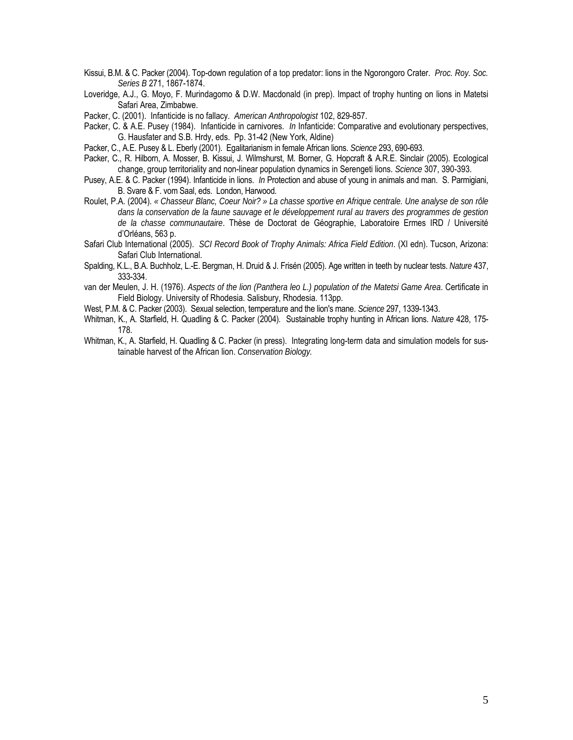- Kissui, B.M. & C. Packer (2004). Top-down regulation of a top predator: lions in the Ngorongoro Crater. *Proc. Roy. Soc. Series B* 271, 1867-1874.
- Loveridge, A.J., G. Moyo, F. Murindagomo & D.W. Macdonald (in prep). Impact of trophy hunting on lions in Matetsi Safari Area, Zimbabwe.
- Packer, C. (2001). Infanticide is no fallacy. *American Anthropologist* 102, 829-857.
- Packer, C. & A.E. Pusey (1984). Infanticide in carnivores. *In* Infanticide: Comparative and evolutionary perspectives, G. Hausfater and S.B. Hrdy, eds. Pp. 31-42 (New York, Aldine)
- Packer, C., A.E. Pusey & L. Eberly (2001). Egalitarianism in female African lions. *Science* 293, 690-693.
- Packer, C., R. Hilborn, A. Mosser, B. Kissui, J. Wilmshurst, M. Borner, G. Hopcraft & A.R.E. Sinclair (2005). Ecological change, group territoriality and non-linear population dynamics in Serengeti lions. *Science* 307, 390-393.
- Pusey, A.E. & C. Packer (1994). Infanticide in lions. *In* Protection and abuse of young in animals and man. S. Parmigiani, B. Svare & F. vom Saal, eds. London, Harwood.
- Roulet, P.A. (2004). *« Chasseur Blanc, Coeur Noir? » La chasse sportive en Afrique centrale. Une analyse de son rôle dans la conservation de la faune sauvage et le développement rural au travers des programmes de gestion de la chasse communautaire*. Thèse de Doctorat de Géographie, Laboratoire Ermes IRD / Université d'Orléans, 563 p.
- Safari Club International (2005). *SCI Record Book of Trophy Animals: Africa Field Edition*. (XI edn). Tucson, Arizona: Safari Club International.
- Spalding, K.L., B.A. Buchholz, L.-E. Bergman, H. Druid & J. Frisén (2005). Age written in teeth by nuclear tests. *Nature* 437, 333-334.
- van der Meulen, J. H. (1976). *Aspects of the lion (Panthera leo L.) population of the Matetsi Game Area*. Certificate in Field Biology. University of Rhodesia. Salisbury, Rhodesia. 113pp.
- West, P.M. & C. Packer (2003). Sexual selection, temperature and the lion's mane. *Science* 297, 1339-1343.
- Whitman, K., A. Starfield, H. Quadling & C. Packer (2004). Sustainable trophy hunting in African lions. *Nature* 428, 175- 178.
- Whitman, K., A. Starfield, H. Quadling & C. Packer (in press). Integrating long-term data and simulation models for sustainable harvest of the African lion. *Conservation Biology.*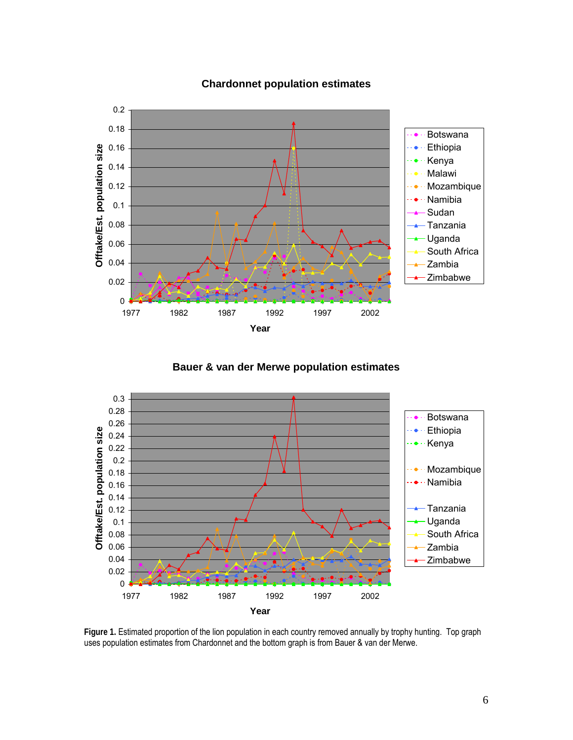

## **Chardonnet population estimates**

**Bauer & van der Merwe population estimates**



**Figure 1.** Estimated proportion of the lion population in each country removed annually by trophy hunting. Top graph uses population estimates from Chardonnet and the bottom graph is from Bauer & van der Merwe.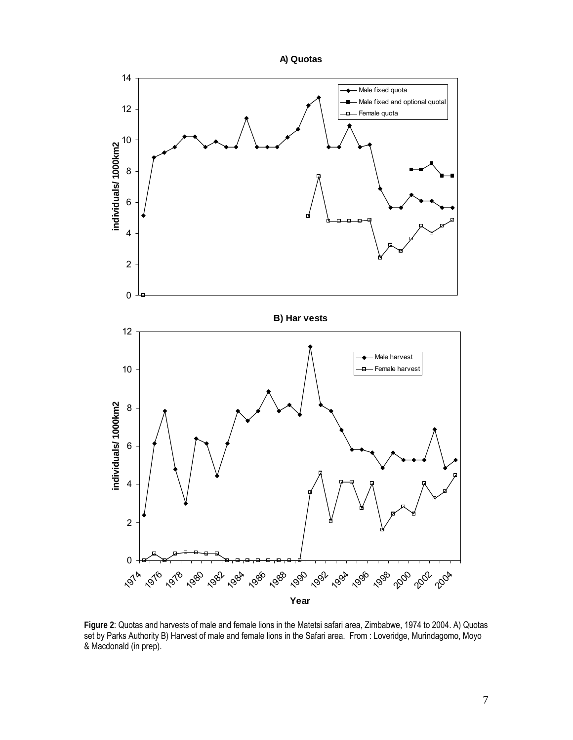

**Figure 2**: Quotas and harvests of male and female lions in the Matetsi safari area, Zimbabwe, 1974 to 2004. A) Quotas set by Parks Authority B) Harvest of male and female lions in the Safari area. From : Loveridge, Murindagomo, Moyo & Macdonald (in prep).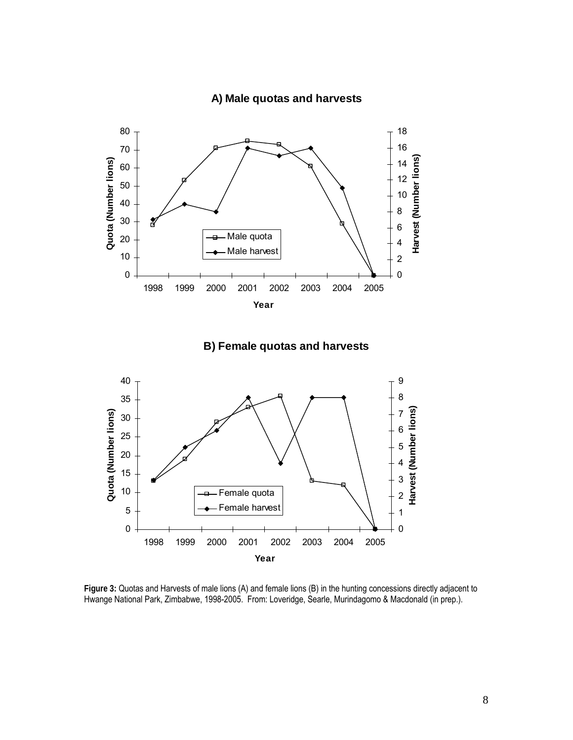



**Figure 3:** Quotas and Harvests of male lions (A) and female lions (B) in the hunting concessions directly adjacent to Hwange National Park, Zimbabwe, 1998-2005. From: Loveridge, Searle, Murindagomo & Macdonald (in prep.).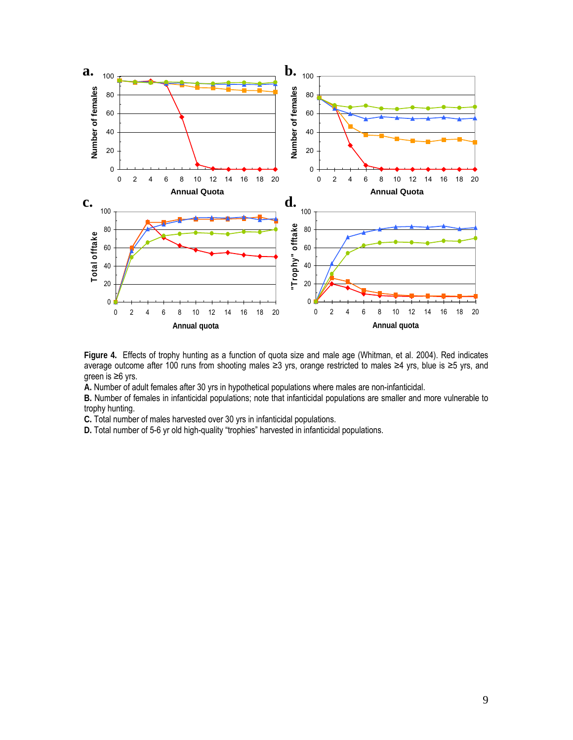

**Figure 4.** Effects of trophy hunting as a function of quota size and male age (Whitman, et al. 2004). Red indicates average outcome after 100 runs from shooting males ≥3 yrs, orange restricted to males ≥4 yrs, blue is ≥5 yrs, and green is ≥6 yrs.

**A.** Number of adult females after 30 yrs in hypothetical populations where males are non-infanticidal.

**B.** Number of females in infanticidal populations; note that infanticidal populations are smaller and more vulnerable to trophy hunting.

**C.** Total number of males harvested over 30 yrs in infanticidal populations.

**D.** Total number of 5-6 yr old high-quality "trophies" harvested in infanticidal populations.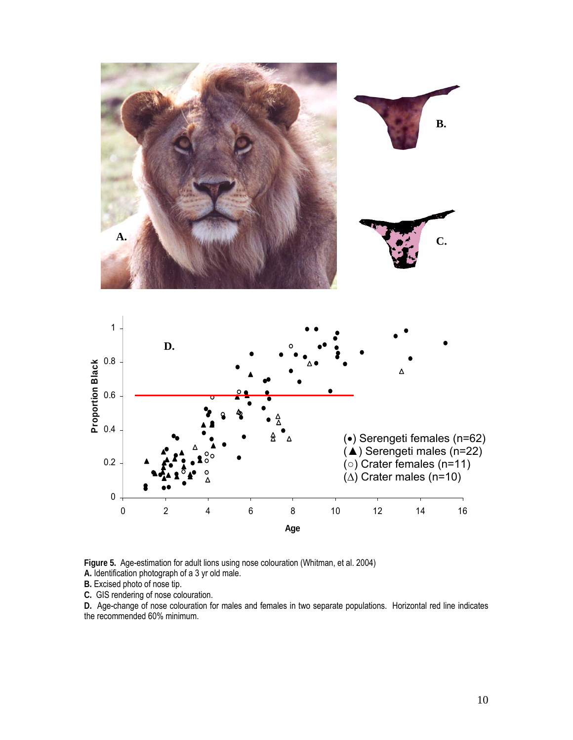

**Figure 5.** Age-estimation for adult lions using nose colouration (Whitman, et al. 2004)

**A.** Identification photograph of a 3 yr old male.

**B.** Excised photo of nose tip.

**C.** GIS rendering of nose colouration.

**D.** Age-change of nose colouration for males and females in two separate populations. Horizontal red line indicates the recommended 60% minimum.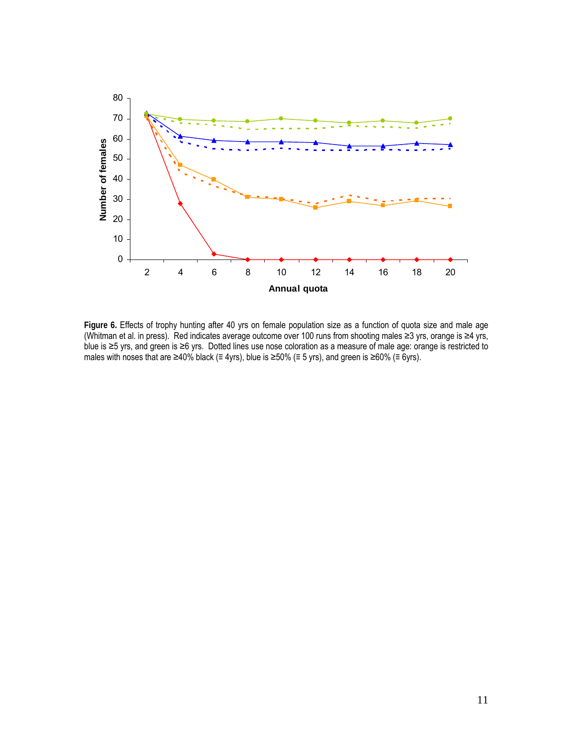

**Figure 6.** Effects of trophy hunting after 40 yrs on female population size as a function of quota size and male age (Whitman et al. in press). Red indicates average outcome over 100 runs from shooting males ≥3 yrs, orange is ≥4 yrs, blue is ≥5 yrs, and green is ≥6 yrs. Dotted lines use nose coloration as a measure of male age: orange is restricted to males with noses that are ≥40% black ( $\equiv$  4yrs), blue is ≥50% ( $\equiv$  5 yrs), and green is ≥60% ( $\equiv$  6yrs).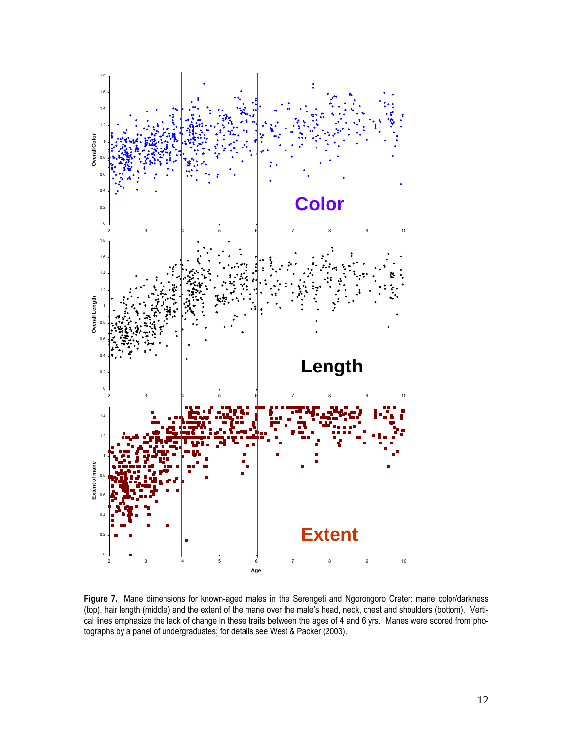

**Figure 7.** Mane dimensions for known-aged males in the Serengeti and Ngorongoro Crater: mane color/darkness (top), hair length (middle) and the extent of the mane over the male's head, neck, chest and shoulders (bottom). Vertical lines emphasize the lack of change in these traits between the ages of 4 and 6 yrs. Manes were scored from photographs by a panel of undergraduates; for details see West & Packer (2003).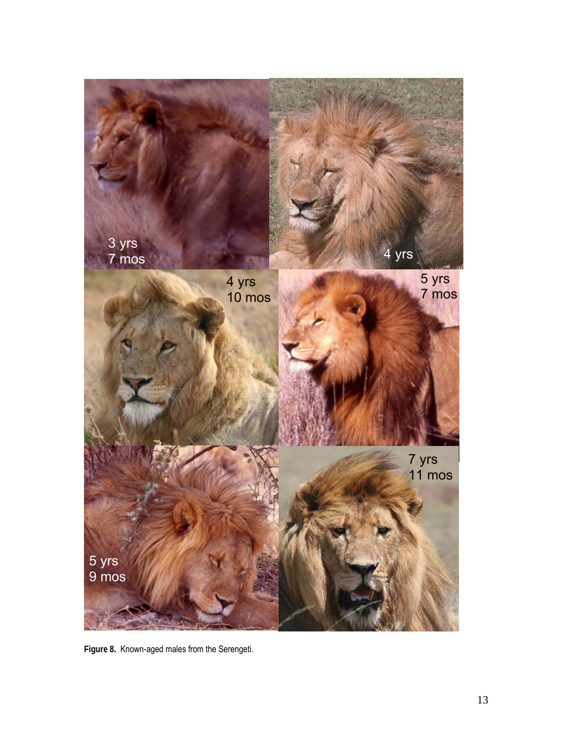

**Figure 8.** Known-aged males from the Serengeti.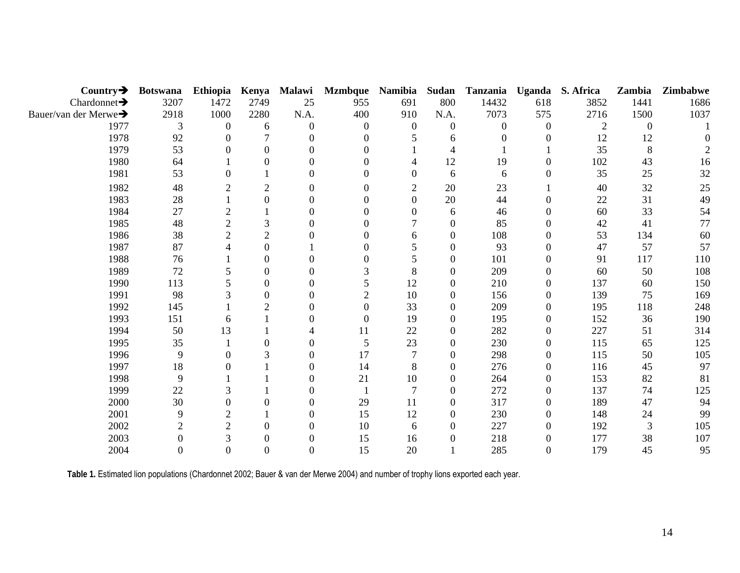| Country $\rightarrow$             | <b>Botswana</b> | Ethiopia       | Kenya          | Malawi   | <b>Mzmbque</b> | <b>Namibia</b> | Sudan            | Tanzania | Uganda   | S. Africa      | Zambia   | Zimbabwe |
|-----------------------------------|-----------------|----------------|----------------|----------|----------------|----------------|------------------|----------|----------|----------------|----------|----------|
| Chardonnet $\rightarrow$          | 3207            | 1472           | 2749           | 25       | 955            | 691            | 800              | 14432    | 618      | 3852           | 1441     | 1686     |
| Bauer/van der Merwe $\rightarrow$ | 2918            | 1000           | 2280           | N.A.     | 400            | 910            | N.A.             | 7073     | 575      | 2716           | 1500     | 1037     |
| 1977                              | 3               | $\Omega$       | 6              | $\Omega$ | 0              | $\overline{0}$ | $\overline{0}$   | $\theta$ | $\Omega$ | $\overline{2}$ | $\Omega$ |          |
| 1978                              | 92              |                |                |          |                |                | 6                |          |          | 12             | 12       |          |
| 1979                              | 53              |                |                | $\Omega$ | 0              |                |                  |          |          | 35             | 8        |          |
| 1980                              | 64              |                |                | 0        | 0              |                | 12               | 19       | 0        | 102            | 43       | 16       |
| 1981                              | 53              |                |                | $\Omega$ | 0              | 0              | 6                | 6        | 0        | 35             | 25       | 32       |
| 1982                              | 48              | 2              | 2              | 0        | 0              | 2              | 20               | 23       |          | 40             | 32       | 25       |
| 1983                              | 28              |                | $\Omega$       | 0        | 0              | $\Omega$       | 20               | 44       | $\Omega$ | 22             | 31       | 49       |
| 1984                              | 27              | $\mathfrak{2}$ |                | $\Omega$ |                | 0              | 6                | 46       | 0        | 60             | 33       | 54       |
| 1985                              | 48              | $\overline{c}$ | 3              | 0        | 0              |                | $\boldsymbol{0}$ | 85       | $\Omega$ | 42             | 41       | 77       |
| 1986                              | 38              | $\overline{2}$ | $\overline{2}$ |          |                | 6              | $\boldsymbol{0}$ | 108      |          | 53             | 134      | 60       |
| 1987                              | 87              |                | 0              |          |                |                | $\boldsymbol{0}$ | 93       |          | 47             | 57       | 57       |
| 1988                              | 76              |                | $\Omega$       | ∩        | 0              |                | $\boldsymbol{0}$ | 101      | 0        | 91             | 117      | 110      |
| 1989                              | 72              |                | 0              | ∩        |                | 8              | $\boldsymbol{0}$ | 209      |          | 60             | 50       | 108      |
| 1990                              | 113             |                | 0              | 0        | 5.             | 12             | $\Omega$         | 210      | $\Omega$ | 137            | 60       | 150      |
| 1991                              | 98              |                | 0              |          | $\overline{2}$ | 10             | $\boldsymbol{0}$ | 156      | $\Omega$ | 139            | 75       | 169      |
| 1992                              | 145             |                | $\overline{2}$ | 0        | $\Omega$       | 33             | $\boldsymbol{0}$ | 209      | $\theta$ | 195            | 118      | 248      |
| 1993                              | 151             | 6              |                | 0        | 0              | 19             | $\boldsymbol{0}$ | 195      | 0        | 152            | 36       | 190      |
| 1994                              | 50              | 13             |                | 4        | 11             | 22             | $\boldsymbol{0}$ | 282      | $\theta$ | 227            | 51       | 314      |
| 1995                              | 35              |                | 0              | 0        | 5              | 23             | $\boldsymbol{0}$ | 230      | $\Omega$ | 115            | 65       | 125      |
| 1996                              | 9               |                |                | 0        | 17             |                | $\boldsymbol{0}$ | 298      | $\Omega$ | 115            | 50       | 105      |
| 1997                              | 18              |                |                | $\Omega$ | 14             | 8              | $\overline{0}$   | 276      | $\Omega$ | 116            | 45       | 97       |
| 1998                              | 9               |                |                | 0        | 21             | 10             | $\overline{0}$   | 264      | $\Omega$ | 153            | 82       | 81       |
| 1999                              | 22              |                |                | $\Omega$ |                |                | $\boldsymbol{0}$ | 272      | $\theta$ | 137            | 74       | 125      |
| 2000                              | 30              |                |                | 0        | 29             | 11             | 0                | 317      | 0        | 189            | 47       | 94       |
| 2001                              | 9               | $\overline{2}$ |                | 0        | 15             | 12             | $\boldsymbol{0}$ | 230      |          | 148            | 24       | 99       |
| 2002                              |                 | $\overline{2}$ | 0              | $\Omega$ | 10             | 6              | $\Omega$         | 227      | $\Omega$ | 192            | 3        | 105      |
| 2003                              |                 | 3              |                | 0        | 15             | 16             | $\boldsymbol{0}$ | 218      |          | 177            | 38       | 107      |
| 2004                              |                 |                |                | ∩        | 15             | 20             |                  | 285      |          | 179            | 45       | 95       |

**Table 1.** Estimated lion populations (Chardonnet 2002; Bauer & van der Merwe 2004) and number of trophy lions exported each year.